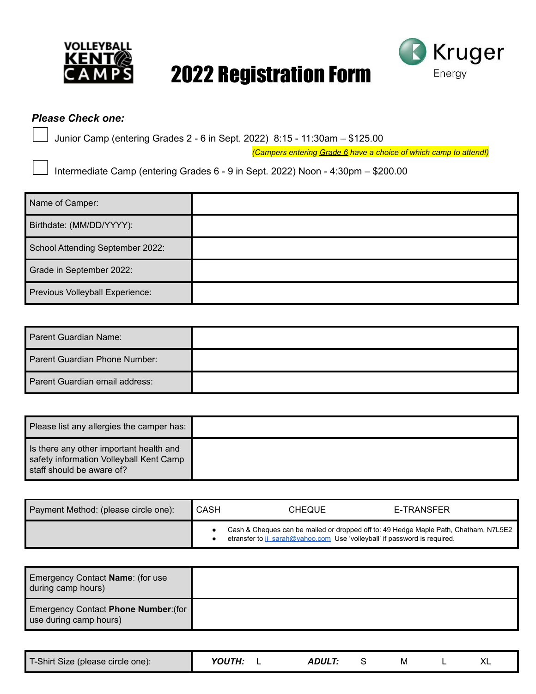

## 2022 Registration Form



## *Please Check one:*

Junior Camp (entering Grades 2 - 6 in Sept. 2022) 8:15 - 11:30am – \$125.00

*(Campers entering Grade 6 have a choice of which camp to attend!)*

Intermediate Camp (entering Grades 6 - 9 in Sept. 2022) Noon - 4:30pm – \$200.00

| Name of Camper:                  |  |
|----------------------------------|--|
| Birthdate: (MM/DD/YYYY):         |  |
| School Attending September 2022: |  |
| Grade in September 2022:         |  |
| Previous Volleyball Experience:  |  |

| Parent Guardian Name:          |  |
|--------------------------------|--|
| Parent Guardian Phone Number:  |  |
| Parent Guardian email address: |  |

| Please list any allergies the camper has:                                                                       |  |
|-----------------------------------------------------------------------------------------------------------------|--|
| Is there any other important health and<br>safety information Volleyball Kent Camp<br>staff should be aware of? |  |

| Payment Method: (please circle one): | CASH | <b>CHEQUE</b>                                                             | E-TRANSFER                                                                           |
|--------------------------------------|------|---------------------------------------------------------------------------|--------------------------------------------------------------------------------------|
|                                      |      | etransfer to ji sarah@yahoo.com Use 'volleyball' if password is required. | Cash & Cheques can be mailed or dropped off to: 49 Hedge Maple Path, Chatham, N7L5E2 |

| Emergency Contact Name: (for use<br>during camp hours)         |  |
|----------------------------------------------------------------|--|
| Emergency Contact Phone Number: (for<br>use during camp hours) |  |

| T-Shirt Size (please circle one): | <b>YOUTH:</b> | <i><b>ADULT</b></i> |  | ΙVΙ |  |  |
|-----------------------------------|---------------|---------------------|--|-----|--|--|
|-----------------------------------|---------------|---------------------|--|-----|--|--|